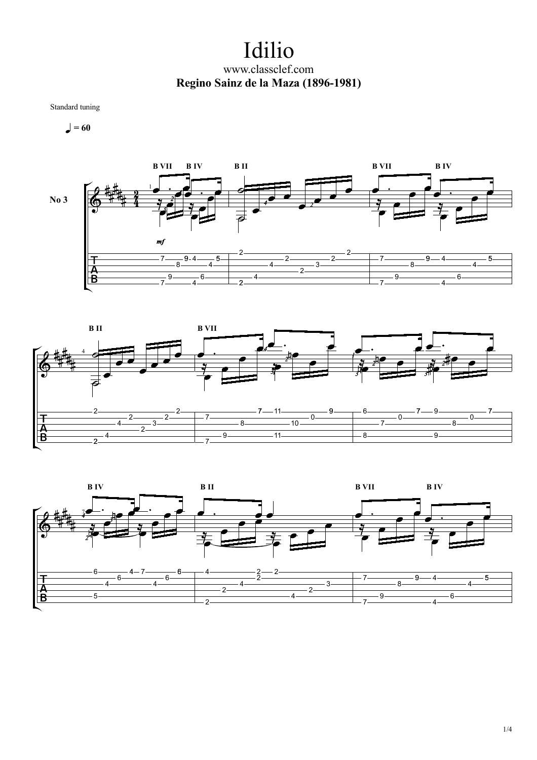## Idilio

www.classclef.com **Regino Sainz de la Maza (1896-1981)**

Standard tuning

$$
\blacksquare = 60
$$





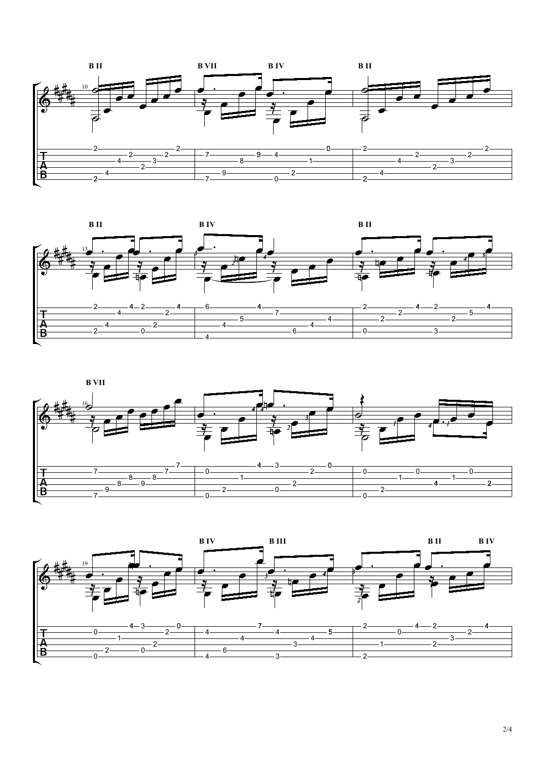





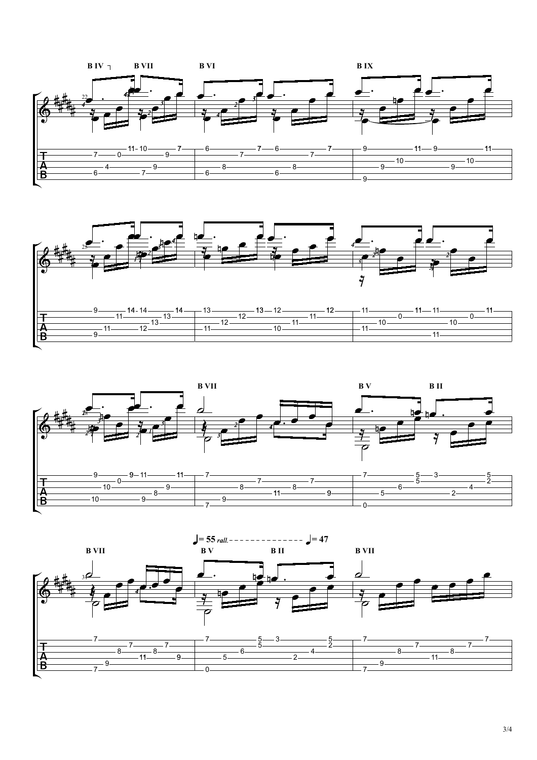